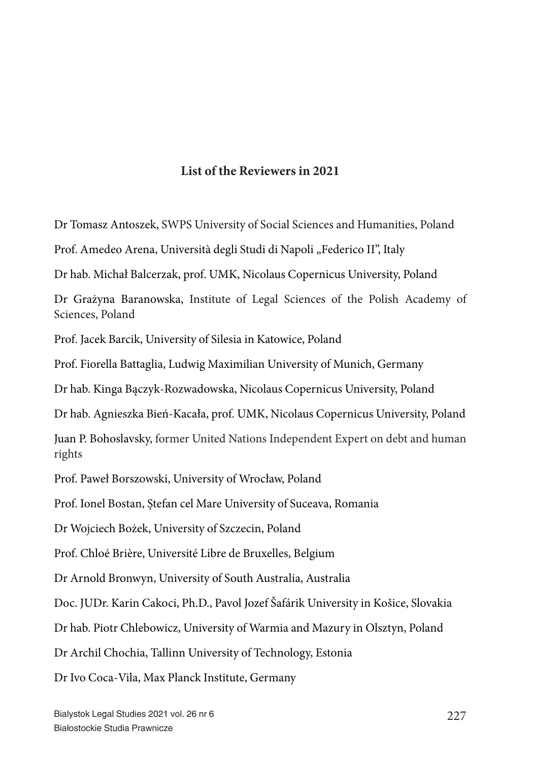Dr Tomasz Antoszek, SWPS University of Social Sciences and Humanities, Poland

Prof. Amedeo Arena, Università degli Studi di Napoli "Federico II", Italy

Dr hab. Michał Balcerzak, prof. UMK, Nicolaus Copernicus University, Poland

Dr Grażyna Baranowska, Institute of Legal Sciences of the Polish Academy of Sciences, Poland

Prof. Jacek Barcik, University of Silesia in Katowice, Poland

Prof. Fiorella Battaglia, Ludwig Maximilian University of Munich, Germany

Dr hab. Kinga Bączyk-Rozwadowska, Nicolaus Copernicus University, Poland

Dr hab. Agnieszka Bień-Kacała, prof. UMK, Nicolaus Copernicus University, Poland

Juan P. Bohoslavsky, former United Nations Independent Expert on debt and human rights

Prof. Paweł Borszowski, University of Wrocław, Poland

Prof. Ionel Bostan, Ștefan cel Mare University of Suceava, Romania

Dr Wojciech Bożek, University of Szczecin, Poland

Prof. Chloé Brière, Université Libre de Bruxelles, Belgium

Dr Arnold Bronwyn, University of South Australia, Australia

Doc. JUDr. Karin Cakoci, Ph.D., Pavol Jozef Šafárik University in Košice, Slovakia

Dr hab. Piotr Chlebowicz, University of Warmia and Mazury in Olsztyn, Poland

Dr Archil Chochia, Tallinn University of Technology, Estonia

Dr Ivo Coca-Vila, Max Planck Institute, Germany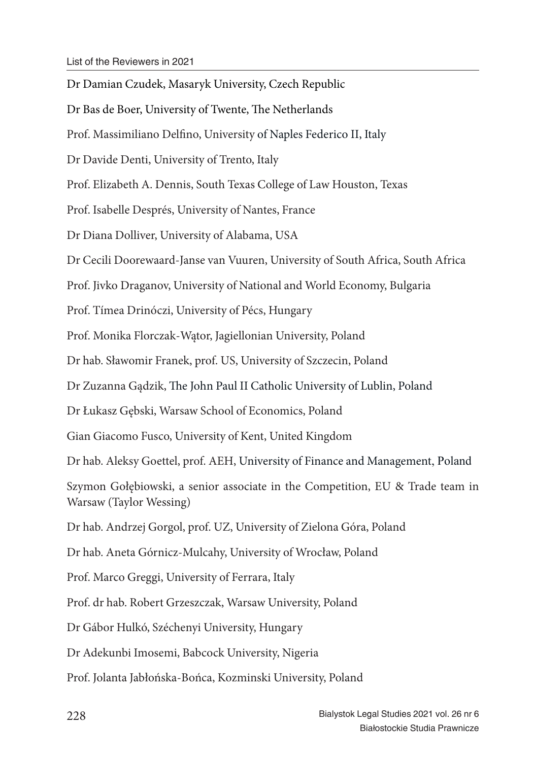Dr Damian Czudek, Masaryk University, Czech Republic Dr Bas de Boer, University of Twente, The Netherlands Prof. Massimiliano Delfino, University of Naples Federico II, Italy Dr Davide Denti, University of Trento, Italy Prof. Elizabeth A. Dennis, South Texas College of Law Houston, Texas Prof. Isabelle Després, University of Nantes, France Dr Diana Dolliver, University of Alabama, USA Dr Cecili Doorewaard-Janse van Vuuren, University of South Africa, South Africa Prof. Jivko Draganov, University of National and World Economy, Bulgaria Prof. Tímea Drinóczi, University of Pécs, Hungary Prof. Monika Florczak-Wątor, Jagiellonian University, Poland Dr hab. Sławomir Franek, prof. US, University of Szczecin, Poland Dr Zuzanna Gądzik, The John Paul II Catholic University of Lublin, Poland Dr Łukasz Gębski, Warsaw School of Economics, Poland Gian Giacomo Fusco, University of Kent, United Kingdom Dr hab. Aleksy Goettel, prof. AEH, University of Finance and Management, Poland Szymon Gołębiowski, a senior associate in the Competition, EU & Trade team in Warsaw (Taylor Wessing) Dr hab. Andrzej Gorgol, prof. UZ, University of Zielona Góra, Poland Dr hab. Aneta Górnicz-Mulcahy, University of Wrocław, Poland Prof. Marco Greggi, University of Ferrara, Italy Prof. dr hab. Robert Grzeszczak, Warsaw University, Poland Dr Gábor Hulkó, Széchenyi University, Hungary Dr Adekunbi Imosemi, Babcock University, Nigeria Prof. Jolanta Jabłońska-Bońca, Kozminski University, Poland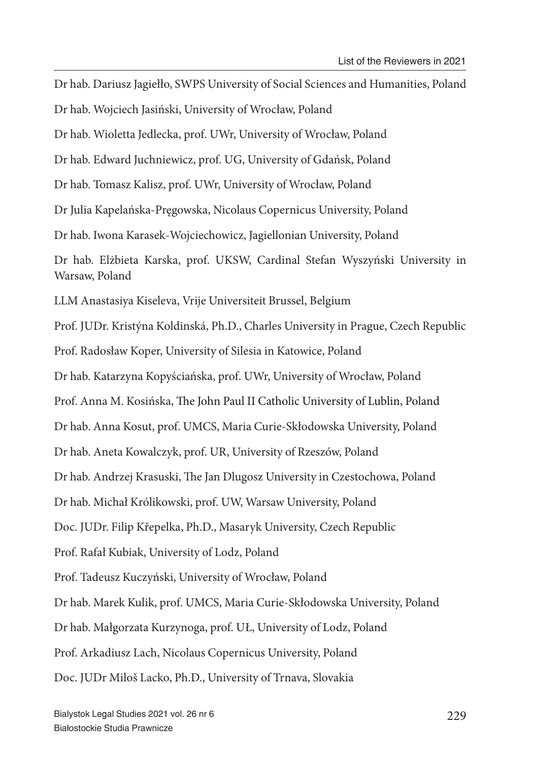Dr hab. Dariusz Jagiełło, SWPS University of Social Sciences and Humanities, Poland Dr hab. Wojciech Jasiński, University of Wrocław, Poland Dr hab. Wioletta Jedlecka, prof. UWr, University of Wrocław, Poland Dr hab. Edward Juchniewicz, prof. UG, University of Gdańsk, Poland Dr hab. Tomasz Kalisz, prof. UWr, University of Wrocław, Poland Dr Julia Kapelańska-Pręgowska, Nicolaus Copernicus University, Poland Dr hab. Iwona Karasek-Wojciechowicz, Jagiellonian University, Poland Dr hab. Elżbieta Karska, prof. UKSW, Cardinal Stefan Wyszyński University in Warsaw, Poland LLM Anastasiya Kiseleva, Vrije Universiteit Brussel, Belgium Prof. JUDr. Kristýna Koldinská, Ph.D., Charles University in Prague, Czech Republic Prof. Radosław Koper, University of Silesia in Katowice, Poland Dr hab. Katarzyna Kopyściańska, prof. UWr, University of Wrocław, Poland Prof. Anna M. Kosińska, The John Paul II Catholic University of Lublin, Poland Dr hab. Anna Kosut, prof. UMCS, Maria Curie-Skłodowska University, Poland Dr hab. Aneta Kowalczyk, prof. UR, University of Rzeszów, Poland Dr hab. Andrzej Krasuski, The Jan Dlugosz University in Czestochowa, Poland Dr hab. Michał Królikowski, prof. UW, Warsaw University, Poland Doc. JUDr. Filip Křepelka, Ph.D., Masaryk University, Czech Republic Prof. Rafał Kubiak, University of Lodz, Poland Prof. Tadeusz Kuczyński, University of Wrocław, Poland Dr hab. Marek Kulik, prof. UMCS, Maria Curie-Skłodowska University, Poland Dr hab. Małgorzata Kurzynoga, prof. UŁ, University of Lodz, Poland Prof. Arkadiusz Lach, Nicolaus Copernicus University, Poland Doc. JUDr Miloš Lacko, Ph.D., University of Trnava, Slovakia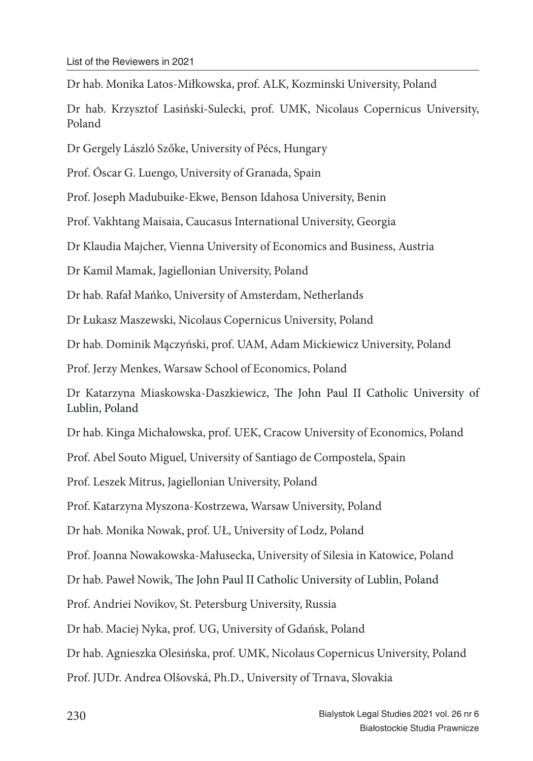Dr hab. Monika Latos-Miłkowska, prof. ALK, Kozminski University, Poland

Dr hab. Krzysztof Lasiński-Sulecki, prof. UMK, Nicolaus Copernicus University, Poland

Dr Gergely László Szőke, University of Pécs, Hungary

Prof. Óscar G. Luengo, University of Granada, Spain

Prof. Joseph Madubuike-Ekwe, Benson Idahosa University, Benin

Prof. Vakhtang Maisaia, Caucasus International University, Georgia

Dr Klaudia Majcher, Vienna University of Economics and Business, Austria

Dr Kamil Mamak, Jagiellonian University, Poland

Dr hab. Rafał Mańko, University of Amsterdam, Netherlands

Dr Łukasz Maszewski, Nicolaus Copernicus University, Poland

Dr hab. Dominik Mączyński, prof. UAM, Adam Mickiewicz University, Poland

Prof. Jerzy Menkes, Warsaw School of Economics, Poland

Dr Katarzyna Miaskowska-Daszkiewicz, The John Paul II Catholic University of Lublin, Poland

Dr hab. Kinga Michałowska, prof. UEK, Cracow University of Economics, Poland

Prof. Abel Souto Miguel, University of Santiago de Compostela, Spain

Prof. Leszek Mitrus, Jagiellonian University, Poland

Prof. Katarzyna Myszona-Kostrzewa, Warsaw University, Poland

Dr hab. Monika Nowak, prof. UŁ, University of Lodz, Poland

Prof. Joanna Nowakowska-Małusecka, University of Silesia in Katowice, Poland

Dr hab. Paweł Nowik, The John Paul II Catholic University of Lublin, Poland

Prof. Andriei Novikov, St. Petersburg University, Russia

Dr hab. Maciej Nyka, prof. UG, University of Gdańsk, Poland

Dr hab. Agnieszka Olesińska, prof. UMK, Nicolaus Copernicus University, Poland

Prof. JUDr. Andrea Olšovská, Ph.D., University of Trnava, Slovakia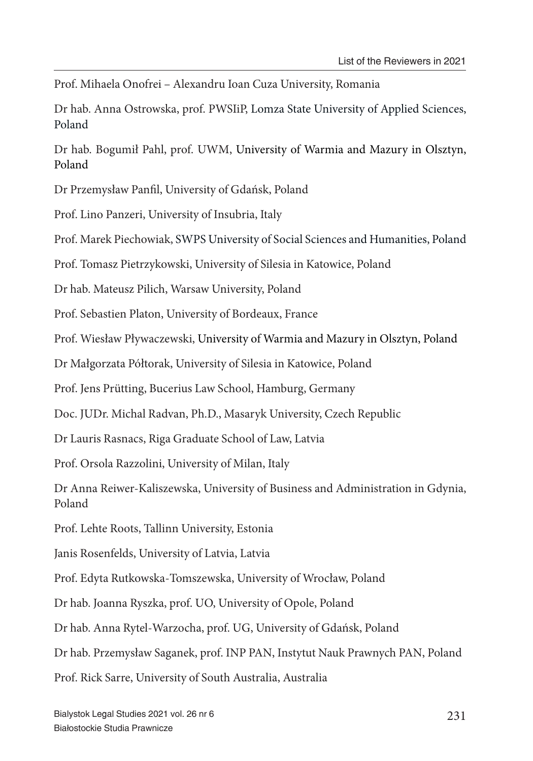Prof. Mihaela Onofrei – Alexandru Ioan Cuza University, Romania

Dr hab. Anna Ostrowska, prof. PWSIiP, Lomza State University of Applied Sciences, Poland

Dr hab. Bogumił Pahl, prof. UWM, University of Warmia and Mazury in Olsztyn, Poland

Dr Przemysław Panfil, University of Gdańsk, Poland

Prof. Lino Panzeri, University of Insubria, Italy

Prof. Marek Piechowiak, SWPS University of Social Sciences and Humanities, Poland

Prof. Tomasz Pietrzykowski, University of Silesia in Katowice, Poland

Dr hab. Mateusz Pilich, Warsaw University, Poland

Prof. Sebastien Platon, University of Bordeaux, France

Prof. Wiesław Pływaczewski, University of Warmia and Mazury in Olsztyn, Poland

Dr Małgorzata Półtorak, University of Silesia in Katowice, Poland

Prof. Jens Prütting, Bucerius Law School, Hamburg, Germany

Doc. JUDr. Michal Radvan, Ph.D., Masaryk University, Czech Republic

Dr Lauris Rasnacs, Riga Graduate School of Law, Latvia

Prof. Orsola Razzolini, University of Milan, Italy

Dr Anna Reiwer-Kaliszewska, University of Business and Administration in Gdynia, Poland

Prof. Lehte Roots, Tallinn University, Estonia

Janis Rosenfelds, University of Latvia, Latvia

Prof. Edyta Rutkowska-Tomszewska, University of Wrocław, Poland

Dr hab. Joanna Ryszka, prof. UO, University of Opole, Poland

Dr hab. Anna Rytel-Warzocha, prof. UG, University of Gdańsk, Poland

Dr hab. Przemysław Saganek, prof. INP PAN, Instytut Nauk Prawnych PAN, Poland

Prof. Rick Sarre, University of South Australia, Australia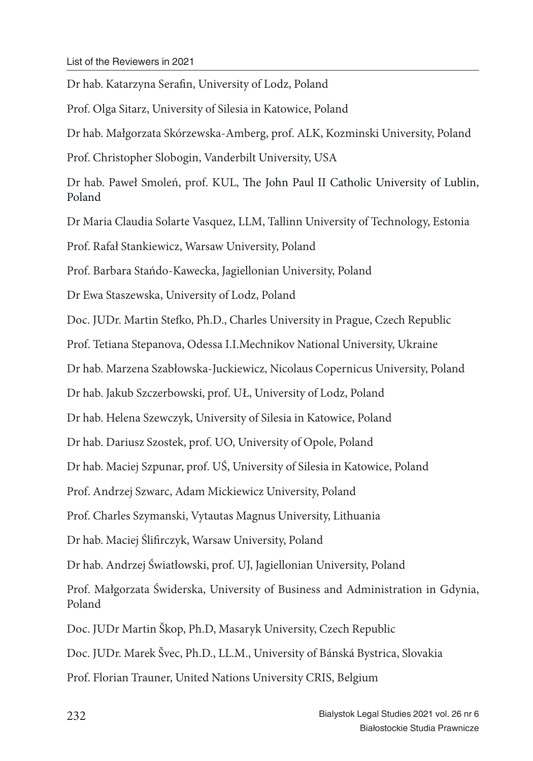Dr hab. Katarzyna Serafin, University of Lodz, Poland Prof. Olga Sitarz, University of Silesia in Katowice, Poland Dr hab. Małgorzata Skórzewska-Amberg, prof. ALK, Kozminski University, Poland Prof. Christopher Slobogin, Vanderbilt University, USA Dr hab. Paweł Smoleń, prof. KUL, The John Paul II Catholic University of Lublin, Poland Dr Maria Claudia Solarte Vasquez, LLM, Tallinn University of Technology, Estonia Prof. Rafał Stankiewicz, Warsaw University, Poland Prof. Barbara Stańdo-Kawecka, Jagiellonian University, Poland Dr Ewa Staszewska, University of Lodz, Poland Doc. JUDr. Martin Stefko, Ph.D., Charles University in Prague, Czech Republic Prof. Tetiana Stepanova, Odessa I.I.Mechnikov National University, Ukraine Dr hab. Marzena Szabłowska-Juckiewicz, Nicolaus Copernicus University, Poland Dr hab. Jakub Szczerbowski, prof. UŁ, University of Lodz, Poland Dr hab. Helena Szewczyk, University of Silesia in Katowice, Poland Dr hab. Dariusz Szostek, prof. UO, University of Opole, Poland Dr hab. Maciej Szpunar, prof. UŚ, University of Silesia in Katowice, Poland Prof. Andrzej Szwarc, Adam Mickiewicz University, Poland Prof. Charles Szymanski, Vytautas Magnus University, Lithuania Dr hab. Maciej Ślifirczyk, Warsaw University, Poland Dr hab. Andrzej Światłowski, prof. UJ, Jagiellonian University, Poland Prof. Małgorzata Świderska, University of Business and Administration in Gdynia, Poland Doc. JUDr Martin Škop, Ph.D, Masaryk University, Czech Republic Doc. JUDr. Marek Švec, Ph.D., LL.M., University of Bánská Bystrica, Slovakia

Prof. Florian Trauner, United Nations University CRIS, Belgium